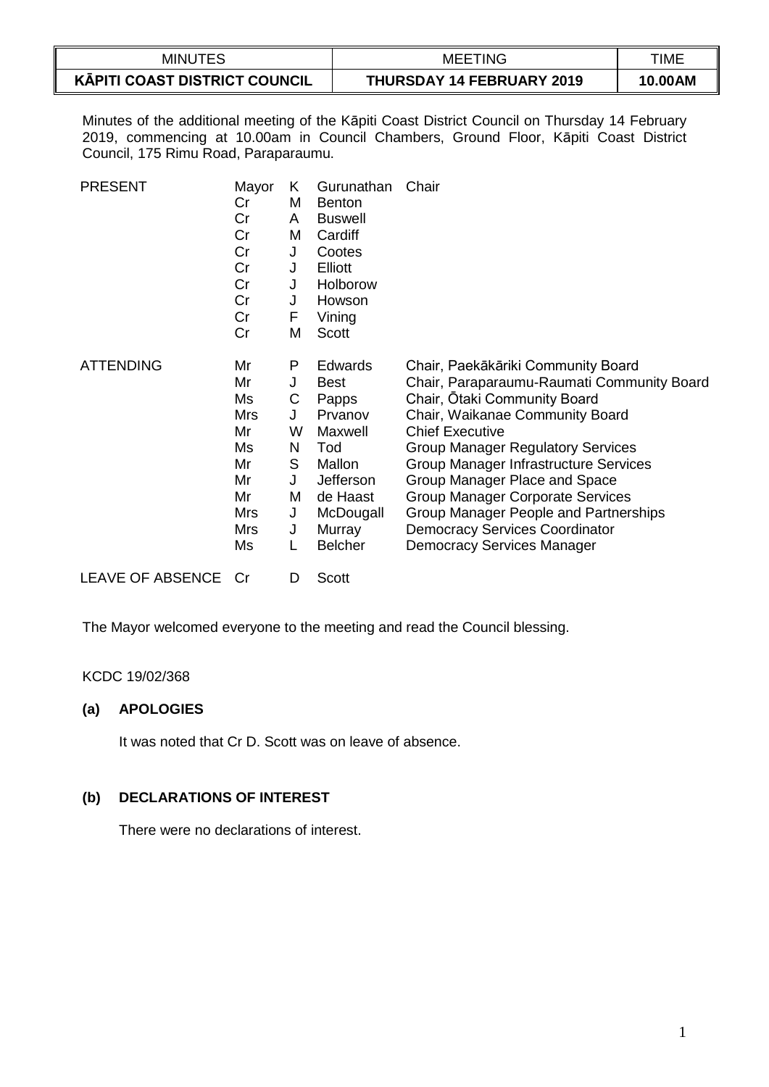| <b>MINUTES</b>                       | TING<br>MEE                      | TIME    |
|--------------------------------------|----------------------------------|---------|
| <b>KĀPITI COAST DISTRICT COUNCIL</b> | <b>THURSDAY 14 FEBRUARY 2019</b> | 10.00AM |

Minutes of the additional meeting of the Kāpiti Coast District Council on Thursday 14 February 2019, commencing at 10.00am in Council Chambers, Ground Floor, Kāpiti Coast District Council, 175 Rimu Road, Paraparaumu.

| <b>PRESENT</b>          | Mayor<br>Cr<br>Cr<br>Cr<br>Cr<br>Cr<br>Cr<br>Cr<br>Cr<br>Cr                    | K<br>M<br>A<br>м<br>$\mathsf{J}$<br>J<br>J<br>J<br>F<br>Μ | Gurunathan<br><b>Benton</b><br><b>Buswell</b><br>Cardiff<br>Cootes<br>Elliott<br>Holborow<br>Howson<br>Vining<br>Scott                   | Chair                                                                                                                                                                                                                                                                                                                                                                                                                                                          |
|-------------------------|--------------------------------------------------------------------------------|-----------------------------------------------------------|------------------------------------------------------------------------------------------------------------------------------------------|----------------------------------------------------------------------------------------------------------------------------------------------------------------------------------------------------------------------------------------------------------------------------------------------------------------------------------------------------------------------------------------------------------------------------------------------------------------|
| <b>ATTENDING</b>        | Mr<br>Mr<br>Ms<br><b>Mrs</b><br>Mr<br>Ms<br>Mr<br>Mr<br>Mr<br>Mrs<br>Mrs<br>Ms | P<br>J<br>С<br>J<br>W<br>N<br>S<br>J<br>M<br>J<br>J       | Edwards<br><b>Best</b><br>Papps<br>Prvanov<br>Maxwell<br>Tod<br>Mallon<br>Jefferson<br>de Haast<br>McDougall<br>Murray<br><b>Belcher</b> | Chair, Paekākāriki Community Board<br>Chair, Paraparaumu-Raumati Community Board<br>Chair, Otaki Community Board<br>Chair, Waikanae Community Board<br><b>Chief Executive</b><br><b>Group Manager Regulatory Services</b><br>Group Manager Infrastructure Services<br>Group Manager Place and Space<br>Group Manager Corporate Services<br>Group Manager People and Partnerships<br><b>Democracy Services Coordinator</b><br><b>Democracy Services Manager</b> |
| <b>LEAVE OF ABSENCE</b> | Cr                                                                             | D                                                         | <b>Scott</b>                                                                                                                             |                                                                                                                                                                                                                                                                                                                                                                                                                                                                |

The Mayor welcomed everyone to the meeting and read the Council blessing.

### KCDC 19/02/368

# **(a) APOLOGIES**

It was noted that Cr D. Scott was on leave of absence.

## **(b) DECLARATIONS OF INTEREST**

There were no declarations of interest.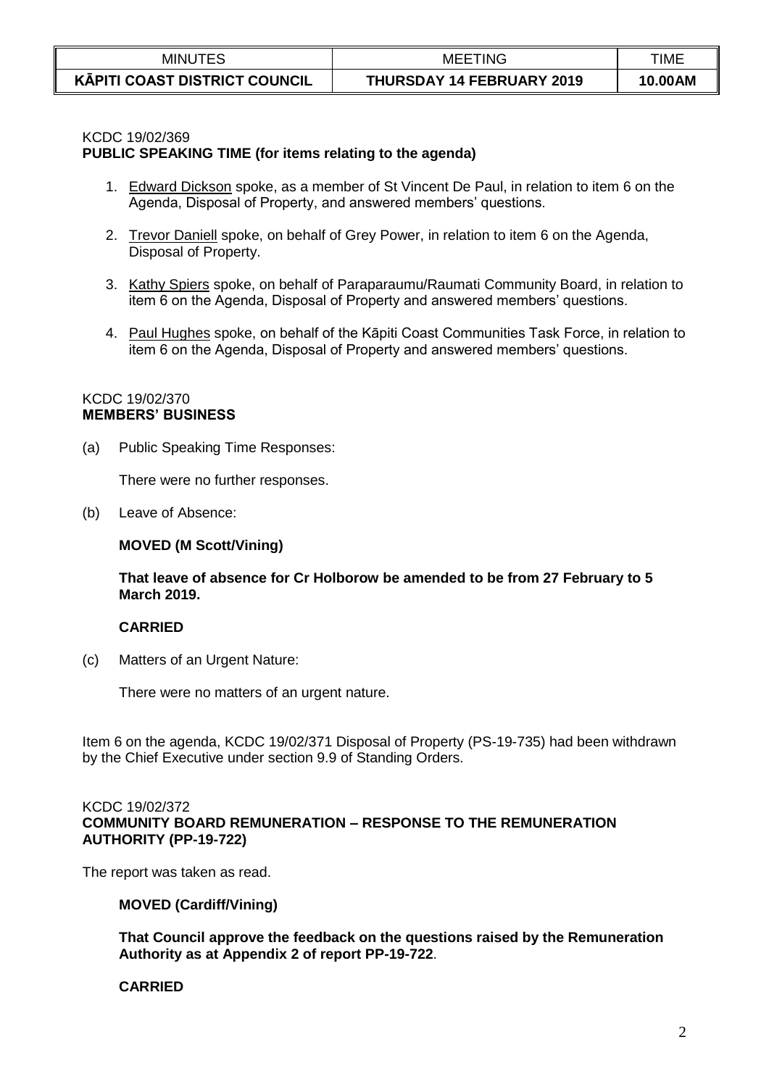| <b>MINUTES</b>                       | 'ING<br>MEE.                     | TIME    |
|--------------------------------------|----------------------------------|---------|
| <b>KAPITI COAST DISTRICT COUNCIL</b> | <b>THURSDAY 14 FEBRUARY 2019</b> | 10.00AM |

### KCDC 19/02/369

#### **PUBLIC SPEAKING TIME (for items relating to the agenda)**

- 1. Edward Dickson spoke, as a member of St Vincent De Paul, in relation to item 6 on the Agenda, Disposal of Property, and answered members' questions.
- 2. Trevor Daniell spoke, on behalf of Grey Power, in relation to item 6 on the Agenda, Disposal of Property.
- 3. Kathy Spiers spoke, on behalf of Paraparaumu/Raumati Community Board, in relation to item 6 on the Agenda, Disposal of Property and answered members' questions.
- 4. Paul Hughes spoke, on behalf of the Kāpiti Coast Communities Task Force, in relation to item 6 on the Agenda, Disposal of Property and answered members' questions.

### KCDC 19/02/370 **MEMBERS' BUSINESS**

(a) Public Speaking Time Responses:

There were no further responses.

(b) Leave of Absence:

#### **MOVED (M Scott/Vining)**

#### **That leave of absence for Cr Holborow be amended to be from 27 February to 5 March 2019.**

#### **CARRIED**

(c) Matters of an Urgent Nature:

There were no matters of an urgent nature.

Item 6 on the agenda, KCDC 19/02/371 Disposal of Property (PS-19-735) had been withdrawn by the Chief Executive under section 9.9 of Standing Orders.

#### KCDC 19/02/372 **COMMUNITY BOARD REMUNERATION – RESPONSE TO THE REMUNERATION AUTHORITY (PP-19-722)**

The report was taken as read.

### **MOVED (Cardiff/Vining)**

**That Council approve the feedback on the questions raised by the Remuneration Authority as at Appendix 2 of report PP-19-722**.

### **CARRIED**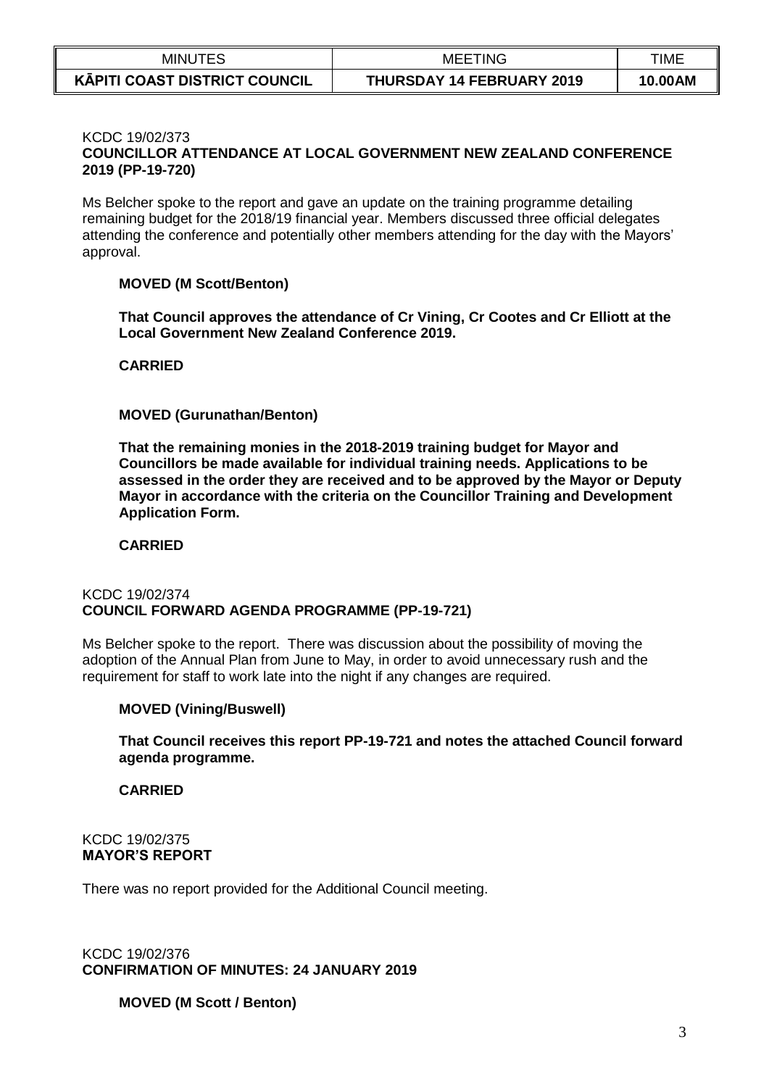| <b>MINUTES</b>                       | <b>MEETING</b>            | TIME    |
|--------------------------------------|---------------------------|---------|
| <b>KAPITI COAST DISTRICT COUNCIL</b> | THURSDAY 14 FEBRUARY 2019 | 10.00AM |

#### KCDC 19/02/373 **COUNCILLOR ATTENDANCE AT LOCAL GOVERNMENT NEW ZEALAND CONFERENCE 2019 (PP-19-720)**

Ms Belcher spoke to the report and gave an update on the training programme detailing remaining budget for the 2018/19 financial year. Members discussed three official delegates attending the conference and potentially other members attending for the day with the Mayors' approval.

### **MOVED (M Scott/Benton)**

**That Council approves the attendance of Cr Vining, Cr Cootes and Cr Elliott at the Local Government New Zealand Conference 2019.**

### **CARRIED**

### **MOVED (Gurunathan/Benton)**

**That the remaining monies in the 2018-2019 training budget for Mayor and Councillors be made available for individual training needs. Applications to be assessed in the order they are received and to be approved by the Mayor or Deputy Mayor in accordance with the criteria on the Councillor Training and Development Application Form.**

#### **CARRIED**

#### KCDC 19/02/374 **COUNCIL FORWARD AGENDA PROGRAMME (PP-19-721)**

Ms Belcher spoke to the report. There was discussion about the possibility of moving the adoption of the Annual Plan from June to May, in order to avoid unnecessary rush and the requirement for staff to work late into the night if any changes are required.

### **MOVED (Vining/Buswell)**

**That Council receives this report PP-19-721 and notes the attached Council forward agenda programme.**

### **CARRIED**

KCDC 19/02/375 **MAYOR'S REPORT**

There was no report provided for the Additional Council meeting.

KCDC 19/02/376 **CONFIRMATION OF MINUTES: 24 JANUARY 2019**

### **MOVED (M Scott / Benton)**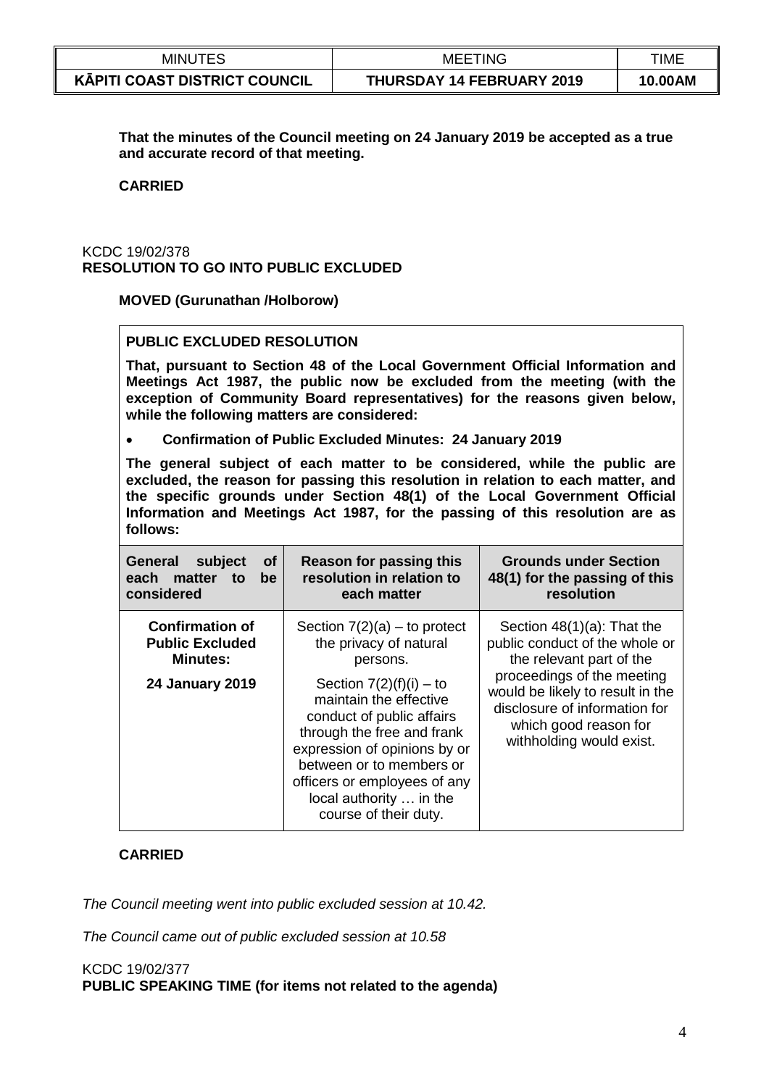| <b>MINUTES</b>                       | <b>MEETING</b>                   | TIME    |
|--------------------------------------|----------------------------------|---------|
| <b>KĀPITI COAST DISTRICT COUNCIL</b> | <b>THURSDAY 14 FEBRUARY 2019</b> | 10.00AM |

**That the minutes of the Council meeting on 24 January 2019 be accepted as a true and accurate record of that meeting.**

#### **CARRIED**

### KCDC 19/02/378 **RESOLUTION TO GO INTO PUBLIC EXCLUDED**

**MOVED (Gurunathan /Holborow)**

### **PUBLIC EXCLUDED RESOLUTION**

**That, pursuant to Section 48 of the Local Government Official Information and Meetings Act 1987, the public now be excluded from the meeting (with the exception of Community Board representatives) for the reasons given below, while the following matters are considered:**

**Confirmation of Public Excluded Minutes: 24 January 2019**

**The general subject of each matter to be considered, while the public are excluded, the reason for passing this resolution in relation to each matter, and the specific grounds under Section 48(1) of the Local Government Official Information and Meetings Act 1987, for the passing of this resolution are as follows:**

| <b>General</b><br>subject<br><b>of</b><br>each matter to<br>be<br>considered | <b>Reason for passing this</b><br>resolution in relation to<br>each matter                                                                                                                                                                                     | <b>Grounds under Section</b><br>48(1) for the passing of this<br>resolution                                                                          |
|------------------------------------------------------------------------------|----------------------------------------------------------------------------------------------------------------------------------------------------------------------------------------------------------------------------------------------------------------|------------------------------------------------------------------------------------------------------------------------------------------------------|
| <b>Confirmation of</b><br><b>Public Excluded</b><br><b>Minutes:</b>          | Section $7(2)(a)$ – to protect<br>the privacy of natural<br>persons.                                                                                                                                                                                           | Section $48(1)(a)$ : That the<br>public conduct of the whole or<br>the relevant part of the                                                          |
| <b>24 January 2019</b>                                                       | Section $7(2)(f)(i) - to$<br>maintain the effective<br>conduct of public affairs<br>through the free and frank<br>expression of opinions by or<br>between or to members or<br>officers or employees of any<br>local authority  in the<br>course of their duty. | proceedings of the meeting<br>would be likely to result in the<br>disclosure of information for<br>which good reason for<br>withholding would exist. |

# **CARRIED**

*The Council meeting went into public excluded session at 10.42.*

*The Council came out of public excluded session at 10.58*

## KCDC 19/02/377 **PUBLIC SPEAKING TIME (for items not related to the agenda)**